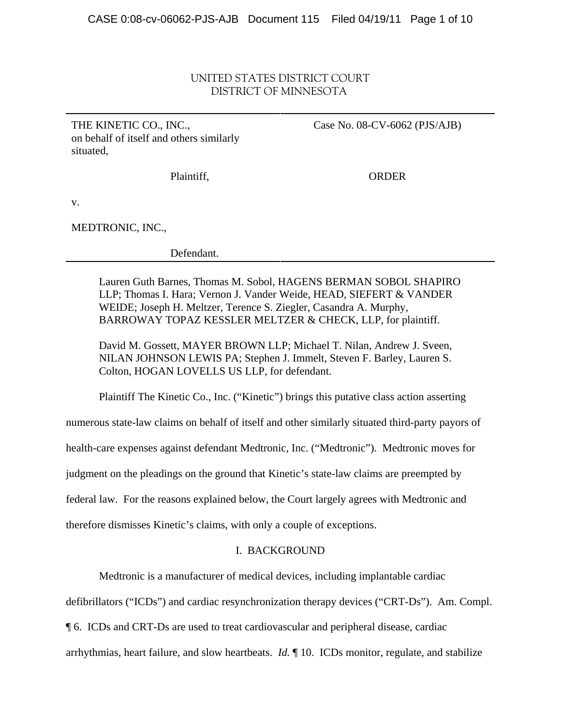# UNITED STATES DISTRICT COURT DISTRICT OF MINNESOTA

THE KINETIC CO., INC., on behalf of itself and others similarly situated,

Case No. 08-CV-6062 (PJS/AJB)

Plaintiff,

ORDER

v.

MEDTRONIC, INC.,

Defendant.

Lauren Guth Barnes, Thomas M. Sobol, HAGENS BERMAN SOBOL SHAPIRO LLP; Thomas I. Hara; Vernon J. Vander Weide, HEAD, SIEFERT & VANDER WEIDE; Joseph H. Meltzer, Terence S. Ziegler, Casandra A. Murphy, BARROWAY TOPAZ KESSLER MELTZER & CHECK, LLP, for plaintiff.

David M. Gossett, MAYER BROWN LLP; Michael T. Nilan, Andrew J. Sveen, NILAN JOHNSON LEWIS PA; Stephen J. Immelt, Steven F. Barley, Lauren S. Colton, HOGAN LOVELLS US LLP, for defendant.

Plaintiff The Kinetic Co., Inc. ("Kinetic") brings this putative class action asserting

numerous state-law claims on behalf of itself and other similarly situated third-party payors of

health-care expenses against defendant Medtronic, Inc. ("Medtronic"). Medtronic moves for

judgment on the pleadings on the ground that Kinetic's state-law claims are preempted by

federal law. For the reasons explained below, the Court largely agrees with Medtronic and

therefore dismisses Kinetic's claims, with only a couple of exceptions.

## I. BACKGROUND

Medtronic is a manufacturer of medical devices, including implantable cardiac

defibrillators ("ICDs") and cardiac resynchronization therapy devices ("CRT-Ds"). Am. Compl.

¶ 6. ICDs and CRT-Ds are used to treat cardiovascular and peripheral disease, cardiac

arrhythmias, heart failure, and slow heartbeats. *Id.* ¶ 10. ICDs monitor, regulate, and stabilize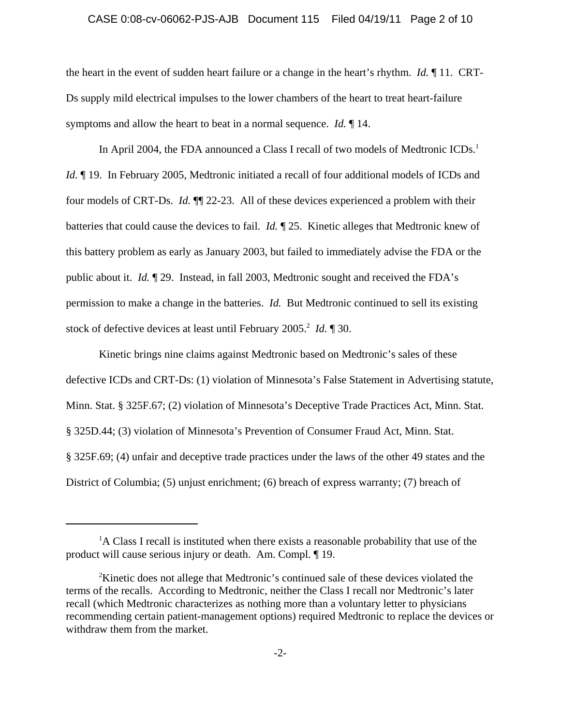#### CASE 0:08-cv-06062-PJS-AJB Document 115 Filed 04/19/11 Page 2 of 10

the heart in the event of sudden heart failure or a change in the heart's rhythm. *Id.* ¶ 11. CRT-Ds supply mild electrical impulses to the lower chambers of the heart to treat heart-failure symptoms and allow the heart to beat in a normal sequence. *Id.* ¶ 14.

In April 2004, the FDA announced a Class I recall of two models of Medtronic ICDs.<sup>1</sup> *Id.*  $\parallel$  19. In February 2005, Medtronic initiated a recall of four additional models of ICDs and four models of CRT-Ds. *Id.* ¶¶ 22-23. All of these devices experienced a problem with their batteries that could cause the devices to fail. *Id.* ¶ 25. Kinetic alleges that Medtronic knew of this battery problem as early as January 2003, but failed to immediately advise the FDA or the public about it. *Id.* ¶ 29. Instead, in fall 2003, Medtronic sought and received the FDA's permission to make a change in the batteries. *Id.* But Medtronic continued to sell its existing stock of defective devices at least until February 2005.<sup>2</sup> *Id.* 1 30.

Kinetic brings nine claims against Medtronic based on Medtronic's sales of these defective ICDs and CRT-Ds: (1) violation of Minnesota's False Statement in Advertising statute, Minn. Stat. § 325F.67; (2) violation of Minnesota's Deceptive Trade Practices Act, Minn. Stat. § 325D.44; (3) violation of Minnesota's Prevention of Consumer Fraud Act, Minn. Stat. § 325F.69; (4) unfair and deceptive trade practices under the laws of the other 49 states and the District of Columbia; (5) unjust enrichment; (6) breach of express warranty; (7) breach of

<sup>&</sup>lt;sup>1</sup>A Class I recall is instituted when there exists a reasonable probability that use of the product will cause serious injury or death. Am. Compl. ¶ 19.

<sup>&</sup>lt;sup>2</sup>Kinetic does not allege that Medtronic's continued sale of these devices violated the terms of the recalls. According to Medtronic, neither the Class I recall nor Medtronic's later recall (which Medtronic characterizes as nothing more than a voluntary letter to physicians recommending certain patient-management options) required Medtronic to replace the devices or withdraw them from the market.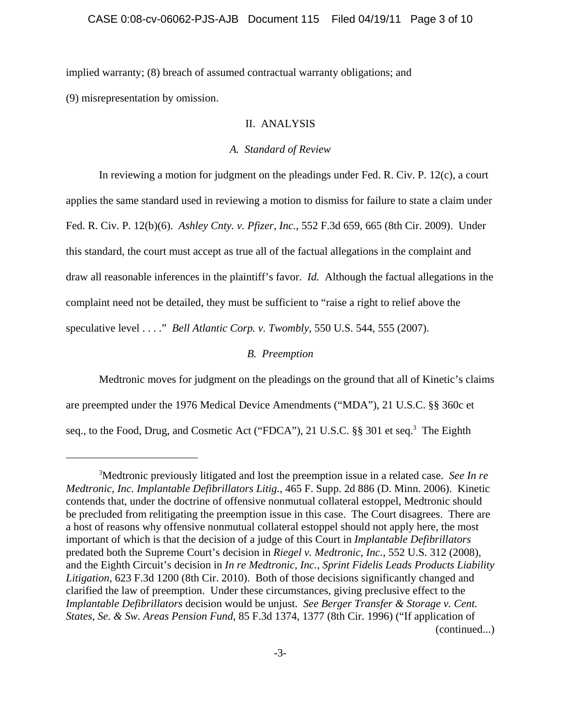implied warranty; (8) breach of assumed contractual warranty obligations; and

(9) misrepresentation by omission.

### II. ANALYSIS

### *A. Standard of Review*

In reviewing a motion for judgment on the pleadings under Fed. R. Civ. P. 12(c), a court applies the same standard used in reviewing a motion to dismiss for failure to state a claim under Fed. R. Civ. P. 12(b)(6). *Ashley Cnty. v. Pfizer, Inc.*, 552 F.3d 659, 665 (8th Cir. 2009). Under this standard, the court must accept as true all of the factual allegations in the complaint and draw all reasonable inferences in the plaintiff's favor. *Id.* Although the factual allegations in the complaint need not be detailed, they must be sufficient to "raise a right to relief above the speculative level . . . ." *Bell Atlantic Corp. v. Twombly*, 550 U.S. 544, 555 (2007).

## *B. Preemption*

Medtronic moves for judgment on the pleadings on the ground that all of Kinetic's claims are preempted under the 1976 Medical Device Amendments ("MDA"), 21 U.S.C. §§ 360c et seq., to the Food, Drug, and Cosmetic Act ("FDCA"), 21 U.S.C. §§ 301 et seq.<sup>3</sup> The Eighth

<sup>3</sup> Medtronic previously litigated and lost the preemption issue in a related case. *See In re Medtronic, Inc. Implantable Defibrillators Litig.*, 465 F. Supp. 2d 886 (D. Minn. 2006). Kinetic contends that, under the doctrine of offensive nonmutual collateral estoppel, Medtronic should be precluded from relitigating the preemption issue in this case. The Court disagrees. There are a host of reasons why offensive nonmutual collateral estoppel should not apply here, the most important of which is that the decision of a judge of this Court in *Implantable Defibrillators* predated both the Supreme Court's decision in *Riegel v. Medtronic, Inc.*, 552 U.S. 312 (2008), and the Eighth Circuit's decision in *In re Medtronic, Inc., Sprint Fidelis Leads Products Liability Litigation*, 623 F.3d 1200 (8th Cir. 2010). Both of those decisions significantly changed and clarified the law of preemption. Under these circumstances, giving preclusive effect to the *Implantable Defibrillators* decision would be unjust. *See Berger Transfer & Storage v. Cent. States, Se. & Sw. Areas Pension Fund*, 85 F.3d 1374, 1377 (8th Cir. 1996) ("If application of (continued...)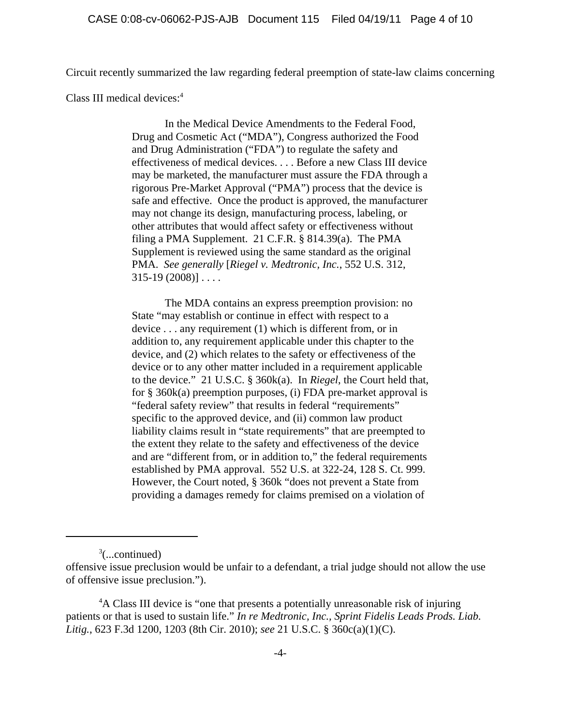Circuit recently summarized the law regarding federal preemption of state-law claims concerning

Class III medical devices:<sup>4</sup>

In the Medical Device Amendments to the Federal Food, Drug and Cosmetic Act ("MDA"), Congress authorized the Food and Drug Administration ("FDA") to regulate the safety and effectiveness of medical devices. . . . Before a new Class III device may be marketed, the manufacturer must assure the FDA through a rigorous Pre-Market Approval ("PMA") process that the device is safe and effective. Once the product is approved, the manufacturer may not change its design, manufacturing process, labeling, or other attributes that would affect safety or effectiveness without filing a PMA Supplement. 21 C.F.R. § 814.39(a). The PMA Supplement is reviewed using the same standard as the original PMA. *See generally* [*Riegel v. Medtronic, Inc.*, 552 U.S. 312,  $315-19(2008)$ ]...

The MDA contains an express preemption provision: no State "may establish or continue in effect with respect to a device . . . any requirement (1) which is different from, or in addition to, any requirement applicable under this chapter to the device, and (2) which relates to the safety or effectiveness of the device or to any other matter included in a requirement applicable to the device." 21 U.S.C. § 360k(a). In *Riegel*, the Court held that, for § 360k(a) preemption purposes, (i) FDA pre-market approval is "federal safety review" that results in federal "requirements" specific to the approved device, and (ii) common law product liability claims result in "state requirements" that are preempted to the extent they relate to the safety and effectiveness of the device and are "different from, or in addition to," the federal requirements established by PMA approval. 552 U.S. at 322-24, 128 S. Ct. 999. However, the Court noted, § 360k "does not prevent a State from providing a damages remedy for claims premised on a violation of

 $3$ (...continued)

offensive issue preclusion would be unfair to a defendant, a trial judge should not allow the use of offensive issue preclusion.").

<sup>&</sup>lt;sup>4</sup>A Class III device is "one that presents a potentially unreasonable risk of injuring patients or that is used to sustain life." *In re Medtronic, Inc., Sprint Fidelis Leads Prods. Liab. Litig.*, 623 F.3d 1200, 1203 (8th Cir. 2010); *see* 21 U.S.C. § 360c(a)(1)(C).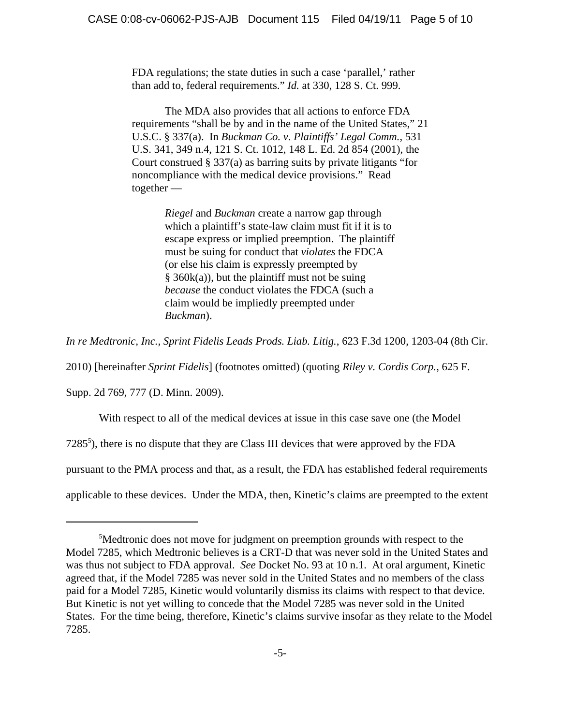FDA regulations; the state duties in such a case 'parallel,' rather than add to, federal requirements." *Id.* at 330, 128 S. Ct. 999.

The MDA also provides that all actions to enforce FDA requirements "shall be by and in the name of the United States," 21 U.S.C. § 337(a). In *Buckman Co. v. Plaintiffs' Legal Comm.*, 531 U.S. 341, 349 n.4, 121 S. Ct. 1012, 148 L. Ed. 2d 854 (2001), the Court construed § 337(a) as barring suits by private litigants "for noncompliance with the medical device provisions." Read together —

> *Riegel* and *Buckman* create a narrow gap through which a plaintiff's state-law claim must fit if it is to escape express or implied preemption. The plaintiff must be suing for conduct that *violates* the FDCA (or else his claim is expressly preempted by  $§$  360k(a)), but the plaintiff must not be suing *because* the conduct violates the FDCA (such a claim would be impliedly preempted under *Buckman*).

*In re Medtronic, Inc., Sprint Fidelis Leads Prods. Liab. Litig.*, 623 F.3d 1200, 1203-04 (8th Cir.

2010) [hereinafter *Sprint Fidelis*] (footnotes omitted) (quoting *Riley v. Cordis Corp.*, 625 F.

Supp. 2d 769, 777 (D. Minn. 2009).

With respect to all of the medical devices at issue in this case save one (the Model

7285<sup>5</sup>), there is no dispute that they are Class III devices that were approved by the FDA

pursuant to the PMA process and that, as a result, the FDA has established federal requirements

applicable to these devices. Under the MDA, then, Kinetic's claims are preempted to the extent

<sup>&</sup>lt;sup>5</sup>Medtronic does not move for judgment on preemption grounds with respect to the Model 7285, which Medtronic believes is a CRT-D that was never sold in the United States and was thus not subject to FDA approval. *See* Docket No. 93 at 10 n.1. At oral argument, Kinetic agreed that, if the Model 7285 was never sold in the United States and no members of the class paid for a Model 7285, Kinetic would voluntarily dismiss its claims with respect to that device. But Kinetic is not yet willing to concede that the Model 7285 was never sold in the United States. For the time being, therefore, Kinetic's claims survive insofar as they relate to the Model 7285.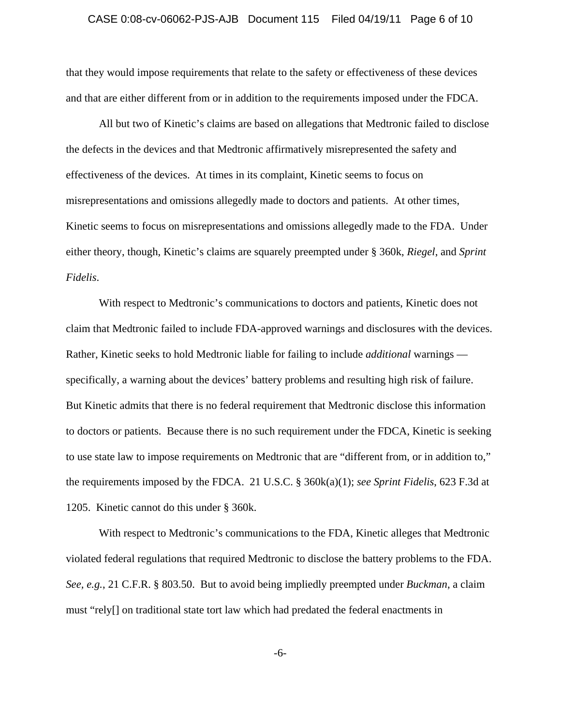#### CASE 0:08-cv-06062-PJS-AJB Document 115 Filed 04/19/11 Page 6 of 10

that they would impose requirements that relate to the safety or effectiveness of these devices and that are either different from or in addition to the requirements imposed under the FDCA.

All but two of Kinetic's claims are based on allegations that Medtronic failed to disclose the defects in the devices and that Medtronic affirmatively misrepresented the safety and effectiveness of the devices. At times in its complaint, Kinetic seems to focus on misrepresentations and omissions allegedly made to doctors and patients. At other times, Kinetic seems to focus on misrepresentations and omissions allegedly made to the FDA. Under either theory, though, Kinetic's claims are squarely preempted under § 360k, *Riegel*, and *Sprint Fidelis*.

With respect to Medtronic's communications to doctors and patients, Kinetic does not claim that Medtronic failed to include FDA-approved warnings and disclosures with the devices. Rather, Kinetic seeks to hold Medtronic liable for failing to include *additional* warnings specifically, a warning about the devices' battery problems and resulting high risk of failure. But Kinetic admits that there is no federal requirement that Medtronic disclose this information to doctors or patients. Because there is no such requirement under the FDCA, Kinetic is seeking to use state law to impose requirements on Medtronic that are "different from, or in addition to," the requirements imposed by the FDCA. 21 U.S.C. § 360k(a)(1); *see Sprint Fidelis*, 623 F.3d at 1205. Kinetic cannot do this under § 360k.

With respect to Medtronic's communications to the FDA, Kinetic alleges that Medtronic violated federal regulations that required Medtronic to disclose the battery problems to the FDA. *See, e.g.*, 21 C.F.R. § 803.50. But to avoid being impliedly preempted under *Buckman*, a claim must "rely[] on traditional state tort law which had predated the federal enactments in

-6-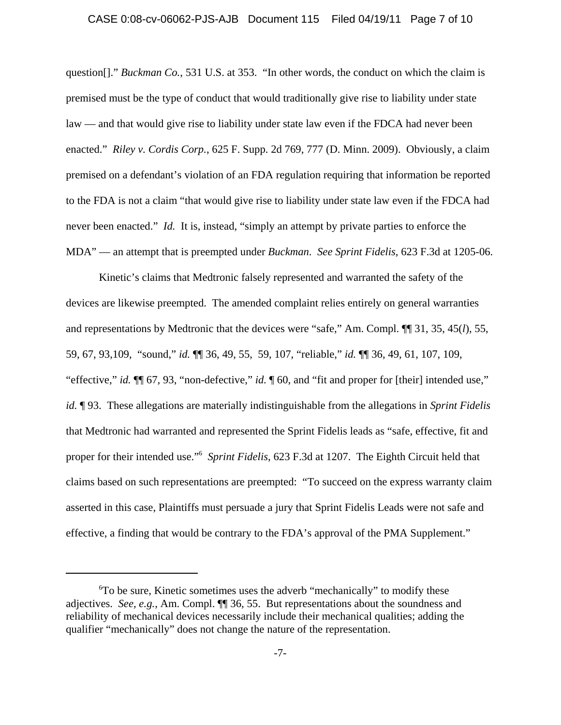#### CASE 0:08-cv-06062-PJS-AJB Document 115 Filed 04/19/11 Page 7 of 10

question[]." *Buckman Co.*, 531 U.S. at 353. "In other words, the conduct on which the claim is premised must be the type of conduct that would traditionally give rise to liability under state law — and that would give rise to liability under state law even if the FDCA had never been enacted." *Riley v. Cordis Corp.*, 625 F. Supp. 2d 769, 777 (D. Minn. 2009). Obviously, a claim premised on a defendant's violation of an FDA regulation requiring that information be reported to the FDA is not a claim "that would give rise to liability under state law even if the FDCA had never been enacted." *Id.* It is, instead, "simply an attempt by private parties to enforce the MDA" — an attempt that is preempted under *Buckman*. *See Sprint Fidelis*, 623 F.3d at 1205-06.

Kinetic's claims that Medtronic falsely represented and warranted the safety of the devices are likewise preempted. The amended complaint relies entirely on general warranties and representations by Medtronic that the devices were "safe," Am. Compl. ¶¶ 31, 35, 45(*l*), 55, 59, 67, 93,109, "sound," *id.* ¶¶ 36, 49, 55, 59, 107, "reliable," *id.* ¶¶ 36, 49, 61, 107, 109, "effective," *id.* ¶¶ 67, 93, "non-defective," *id.* ¶ 60, and "fit and proper for [their] intended use," *id.* ¶ 93. These allegations are materially indistinguishable from the allegations in *Sprint Fidelis* that Medtronic had warranted and represented the Sprint Fidelis leads as "safe, effective, fit and proper for their intended use."6 *Sprint Fidelis*, 623 F.3d at 1207. The Eighth Circuit held that claims based on such representations are preempted: "To succeed on the express warranty claim asserted in this case, Plaintiffs must persuade a jury that Sprint Fidelis Leads were not safe and effective, a finding that would be contrary to the FDA's approval of the PMA Supplement."

<sup>6</sup> To be sure, Kinetic sometimes uses the adverb "mechanically" to modify these adjectives. *See, e.g.*, Am. Compl. ¶¶ 36, 55. But representations about the soundness and reliability of mechanical devices necessarily include their mechanical qualities; adding the qualifier "mechanically" does not change the nature of the representation.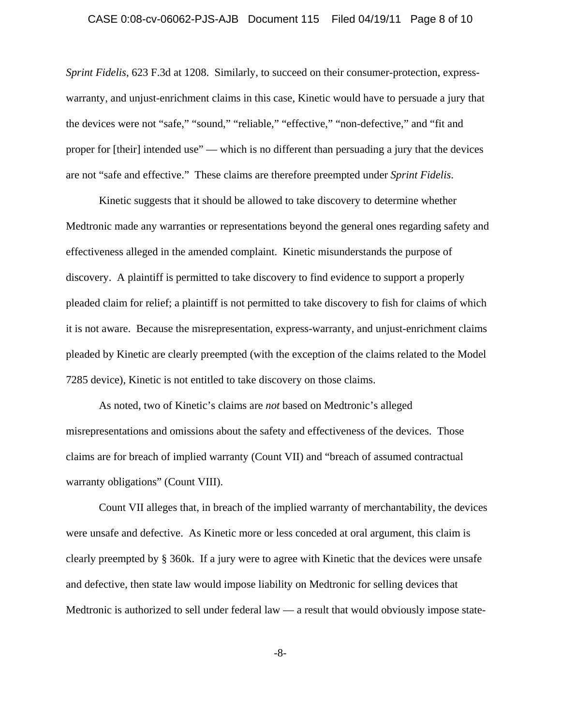#### CASE 0:08-cv-06062-PJS-AJB Document 115 Filed 04/19/11 Page 8 of 10

*Sprint Fidelis*, 623 F.3d at 1208. Similarly, to succeed on their consumer-protection, expresswarranty, and unjust-enrichment claims in this case, Kinetic would have to persuade a jury that the devices were not "safe," "sound," "reliable," "effective," "non-defective," and "fit and proper for [their] intended use" — which is no different than persuading a jury that the devices are not "safe and effective." These claims are therefore preempted under *Sprint Fidelis*.

Kinetic suggests that it should be allowed to take discovery to determine whether Medtronic made any warranties or representations beyond the general ones regarding safety and effectiveness alleged in the amended complaint. Kinetic misunderstands the purpose of discovery. A plaintiff is permitted to take discovery to find evidence to support a properly pleaded claim for relief; a plaintiff is not permitted to take discovery to fish for claims of which it is not aware. Because the misrepresentation, express-warranty, and unjust-enrichment claims pleaded by Kinetic are clearly preempted (with the exception of the claims related to the Model 7285 device), Kinetic is not entitled to take discovery on those claims.

As noted, two of Kinetic's claims are *not* based on Medtronic's alleged misrepresentations and omissions about the safety and effectiveness of the devices. Those claims are for breach of implied warranty (Count VII) and "breach of assumed contractual warranty obligations" (Count VIII).

Count VII alleges that, in breach of the implied warranty of merchantability, the devices were unsafe and defective. As Kinetic more or less conceded at oral argument, this claim is clearly preempted by § 360k. If a jury were to agree with Kinetic that the devices were unsafe and defective, then state law would impose liability on Medtronic for selling devices that Medtronic is authorized to sell under federal law — a result that would obviously impose state-

-8-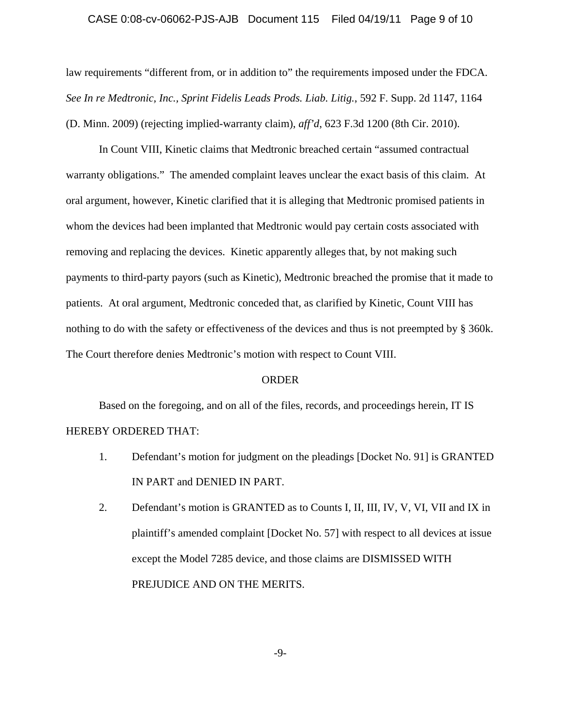#### CASE 0:08-cv-06062-PJS-AJB Document 115 Filed 04/19/11 Page 9 of 10

law requirements "different from, or in addition to" the requirements imposed under the FDCA. *See In re Medtronic, Inc., Sprint Fidelis Leads Prods. Liab. Litig.*, 592 F. Supp. 2d 1147, 1164 (D. Minn. 2009) (rejecting implied-warranty claim), *aff'd*, 623 F.3d 1200 (8th Cir. 2010).

In Count VIII, Kinetic claims that Medtronic breached certain "assumed contractual warranty obligations." The amended complaint leaves unclear the exact basis of this claim. At oral argument, however, Kinetic clarified that it is alleging that Medtronic promised patients in whom the devices had been implanted that Medtronic would pay certain costs associated with removing and replacing the devices. Kinetic apparently alleges that, by not making such payments to third-party payors (such as Kinetic), Medtronic breached the promise that it made to patients. At oral argument, Medtronic conceded that, as clarified by Kinetic, Count VIII has nothing to do with the safety or effectiveness of the devices and thus is not preempted by § 360k. The Court therefore denies Medtronic's motion with respect to Count VIII.

#### ORDER

Based on the foregoing, and on all of the files, records, and proceedings herein, IT IS HEREBY ORDERED THAT:

- 1. Defendant's motion for judgment on the pleadings [Docket No. 91] is GRANTED IN PART and DENIED IN PART.
- 2. Defendant's motion is GRANTED as to Counts I, II, III, IV, V, VI, VII and IX in plaintiff's amended complaint [Docket No. 57] with respect to all devices at issue except the Model 7285 device, and those claims are DISMISSED WITH PREJUDICE AND ON THE MERITS.